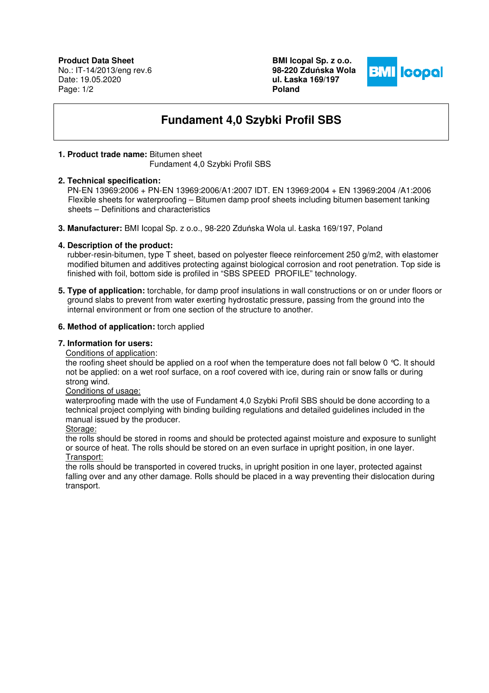**Product Data Sheet** No.: IT-14/2013/eng rev.6 Date: 19.05.2020 Page: 1/2

**BMI Icopal Sp. z o.o. 98-220 Zdu**ń**ska Wola ul. Łaska 169/197 Poland** 



# **Fundament 4,0 Szybki Profil SBS**

### **1. Product trade name:** Bitumen sheet

Fundament 4,0 Szybki Profil SBS

#### **2. Technical specification:**

 PN-EN 13969:2006 + PN-EN 13969:2006/A1:2007 IDT. EN 13969:2004 + EN 13969:2004 /A1:2006 Flexible sheets for waterproofing – Bitumen damp proof sheets including bitumen basement tanking sheets – Definitions and characteristics

**3. Manufacturer:** BMI Icopal Sp. z o.o., 98-220 Zduńska Wola ul. Łaska 169/197, Poland

## **4. Description of the product:**

 rubber-resin-bitumen, type T sheet, based on polyester fleece reinforcement 250 g/m2, with elastomer modified bitumen and additives protecting against biological corrosion and root penetration. Top side is finished with foil, bottom side is profiled in "SBS SPEED PROFILE" technology.

**5. Type of application:** torchable, for damp proof insulations in wall constructions or on or under floors or ground slabs to prevent from water exerting hydrostatic pressure, passing from the ground into the internal environment or from one section of the structure to another.

#### **6. Method of application:** torch applied

## **7. Information for users:**

Conditions of application:

the roofing sheet should be applied on a roof when the temperature does not fall below 0 °C. It should not be applied: on a wet roof surface, on a roof covered with ice, during rain or snow falls or during strong wind.

#### Conditions of usage:

waterproofing made with the use of Fundament 4,0 Szybki Profil SBS should be done according to a technical project complying with binding building regulations and detailed guidelines included in the manual issued by the producer.

#### Storage:

the rolls should be stored in rooms and should be protected against moisture and exposure to sunlight or source of heat. The rolls should be stored on an even surface in upright position, in one layer. Transport:

the rolls should be transported in covered trucks, in upright position in one layer, protected against falling over and any other damage. Rolls should be placed in a way preventing their dislocation during transport.